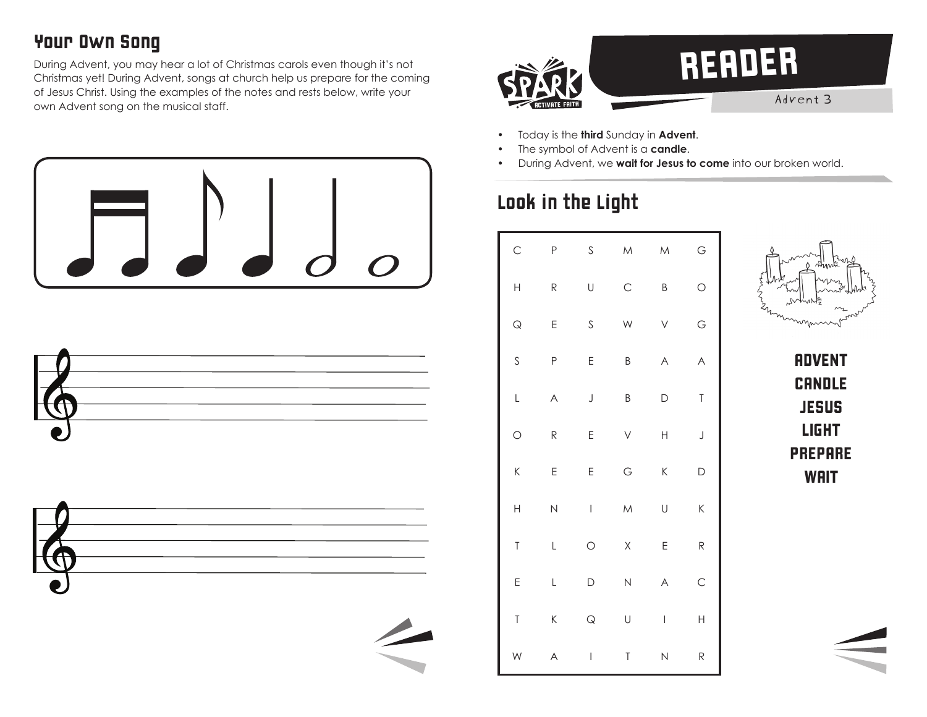## Your Own Song

During Advent, you may hear a lot of Christmas carols even though it's not Christmas yet! During Advent, songs at church help us prepare for the coming of Jesus Christ. Using the examples of the notes and rests below, write your own Advent song on the musical staff.





- Today is the **third** Sunday in **Advent**.
- The symbol of Advent is a **candle**.
- During Advent, we **wait for Jesus to come** into our broken world.

# Look in the Light

| $\mathsf{C}$   | P                       | $\mathsf S$              | $\overline{\mathsf{M}}$ | M                        | G                       |
|----------------|-------------------------|--------------------------|-------------------------|--------------------------|-------------------------|
| $\overline{H}$ | R                       | U                        | $\mathsf{C}$            | B                        | $\circ$                 |
| $\mathsf Q$    | E                       | $\mathsf S$              | W                       | V                        | G                       |
| $\mathsf S$    | P                       | E                        | B                       | $\forall$                | $\overline{\mathsf{A}}$ |
| L              | $\forall$               | $\bigcup$                | B                       | D                        | $\mathsf T$             |
| $\circ$        | R                       | E                        | V                       | $\overline{\mathsf{H}}$  | $\bigcup$               |
| K              | E                       | E                        | G                       | K                        | D                       |
| $\mathsf{H}$   | $\overline{\mathsf{N}}$ | $\overline{\phantom{a}}$ | $\overline{\mathsf{M}}$ | U                        | K                       |
| $\mathsf T$    | L                       | $\circ$                  | $\sf X$                 | E                        | R                       |
| E              | L                       | D                        | $\overline{\mathsf{N}}$ | $\forall$                | $\mathsf{C}$            |
| $\mathsf T$    | K                       | $\mathsf Q$              | U                       | $\overline{\phantom{a}}$ | $\overline{H}$          |
| W              | A                       | $\mid$                   | T                       | N                        | R                       |



**ADVENT CANDLE JESUS** LIGHT PREPARE **WAIT**